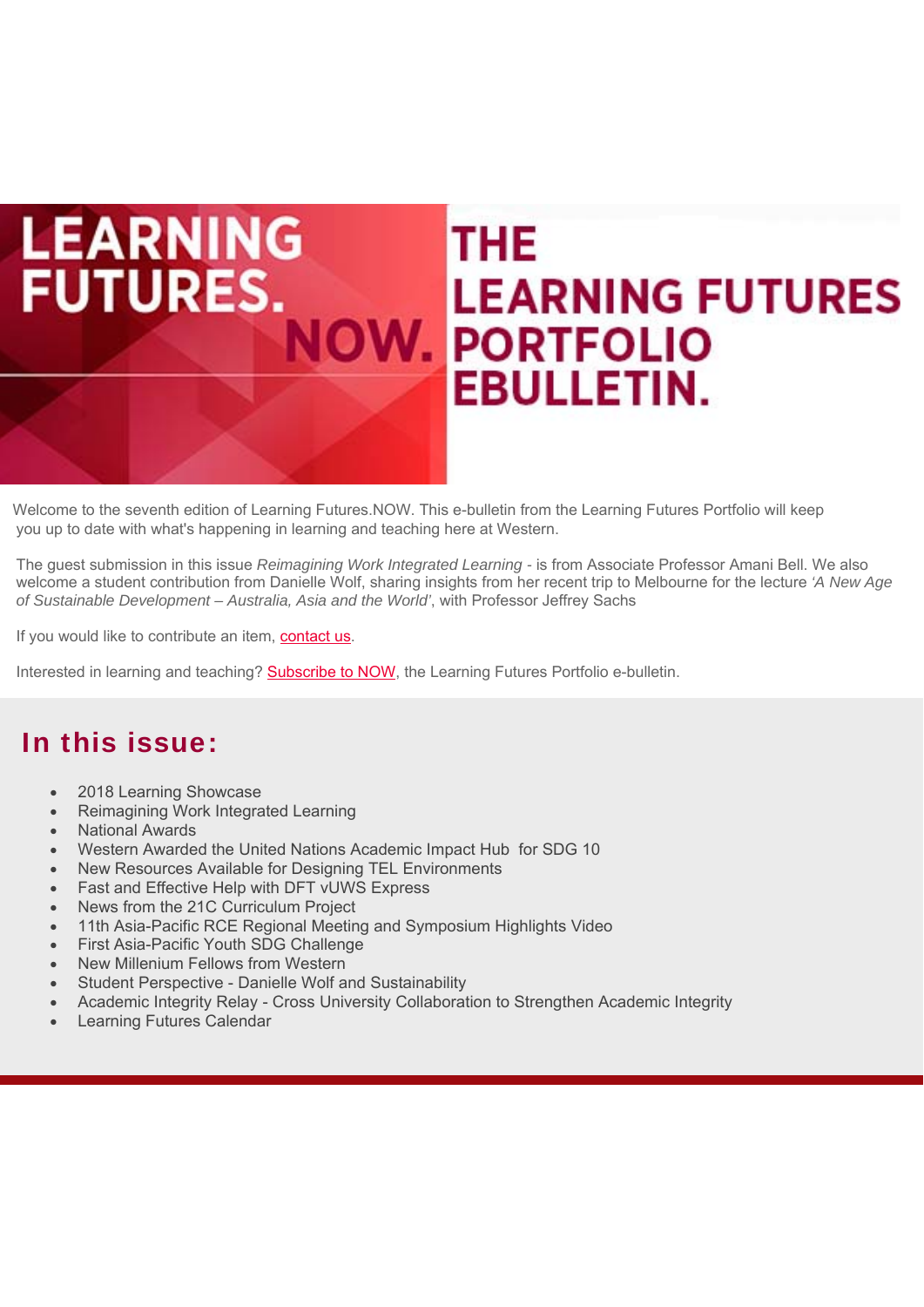# **LEARNING THE FUTURES. LEARNING FUTURES OW. PORTFOLIO EBULLETIN.**

Welcome to the seventh edition of Learning Futures.NOW. This e-bulletin from the Learning Futures Portfolio will keep you up to date with what's happening in learning and teaching here at Western.

The guest submission in this issue *Reimagining Work Integrated Learning -* is from Associate Professor Amani Bell. We also welcome a student contribution from Danielle Wolf, sharing insights from her recent trip to Melbourne for the lecture *'A New Age of Sustainable Development – Australia, Asia and the World'*, with Professor Jeffrey Sachs

If you would like to contribute an item, [contact us.](https://www.westernsydney.edu.au/learning_futures/home/connect_to_teaching_community/connect/learning_futures.now_ebulletin/submit_your_feedback_and_suggestions)

Interested in learning and teaching? [Subscribe to NOW](https://www.westernsydney.edu.au/learning_futures/home/connect_to_teaching_community/connect/learning_futures.now_ebulletin/newsletter/subscribe_to_NOW), the Learning Futures Portfolio e-bulletin.

#### In this issue:

- 2018 Learning Showcase
- Reimagining Work Integrated Learning
- National Awards
- Western Awarded the United Nations Academic Impact Hub for SDG 10
- New Resources Available for Designing TEL Environments
- Fast and Effective Help with DFT vUWS Express
- News from the 21C Curriculum Project
- 11th Asia-Pacific RCE Regional Meeting and Symposium Highlights Video
- First Asia-Pacific Youth SDG Challenge
- New Millenium Fellows from Western
- Student Perspective Danielle Wolf and Sustainability
- Academic Integrity Relay Cross University Collaboration to Strengthen Academic Integrity
- Learning Futures Calendar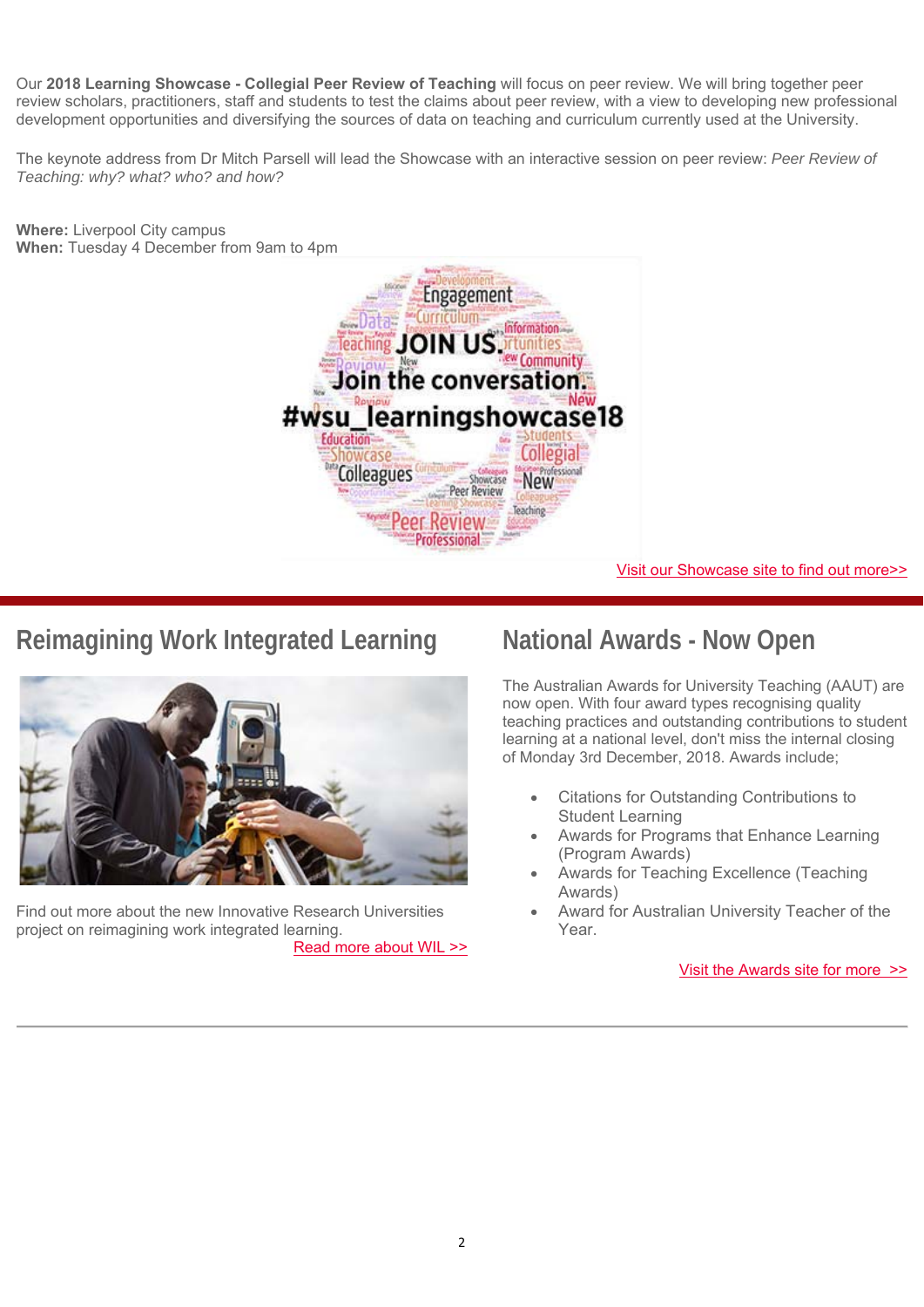Our **2018 Learning Showcase - Collegial Peer Review of Teaching** will focus on peer review. We will bring together peer review scholars, practitioners, staff and students to test the claims about peer review, with a view to developing new professional development opportunities and diversifying the sources of data on teaching and curriculum currently used at the University.

The keynote address from Dr Mitch Parsell will lead the Showcase with an interactive session on peer review: *Peer Review of Teaching: why? what? who? and how?* 



#### [Visit our Showcase site to find out more>>](https://www.westernsydney.edu.au/learning_futures/home/learning_showcase2/learning_showcase)

# **Reimagining Work Integrated Learning**



Find out more about the new Innovative Research Universities project on reimagining work integrated learning. [Read more about WIL >>](https://www.vision6.com.au/em/message/email/view?a=37166&id=1196449&k=-k-H8-KrmRsCU_OADU9KpOiEWp8U3spFqAcUY2fdpTc)

#### **National Awards - Now Open**

The Australian Awards for University Teaching (AAUT) are now open. With four award types recognising quality teaching practices and outstanding contributions to student learning at a national level, don't miss the internal closing of Monday 3rd December, 2018. Awards include;

- Citations for Outstanding Contributions to Student Learning
- Awards for Programs that Enhance Learning (Program Awards)
- Awards for Teaching Excellence (Teaching Awards)
- Award for Australian University Teacher of the Year.

[Visit the Awards site for more >>](https://www.westernsydney.edu.au/learning_futures/home/learning_transformations2/learning_transformations/rewards_and_recognition2/australian_awards_for_university_teaching)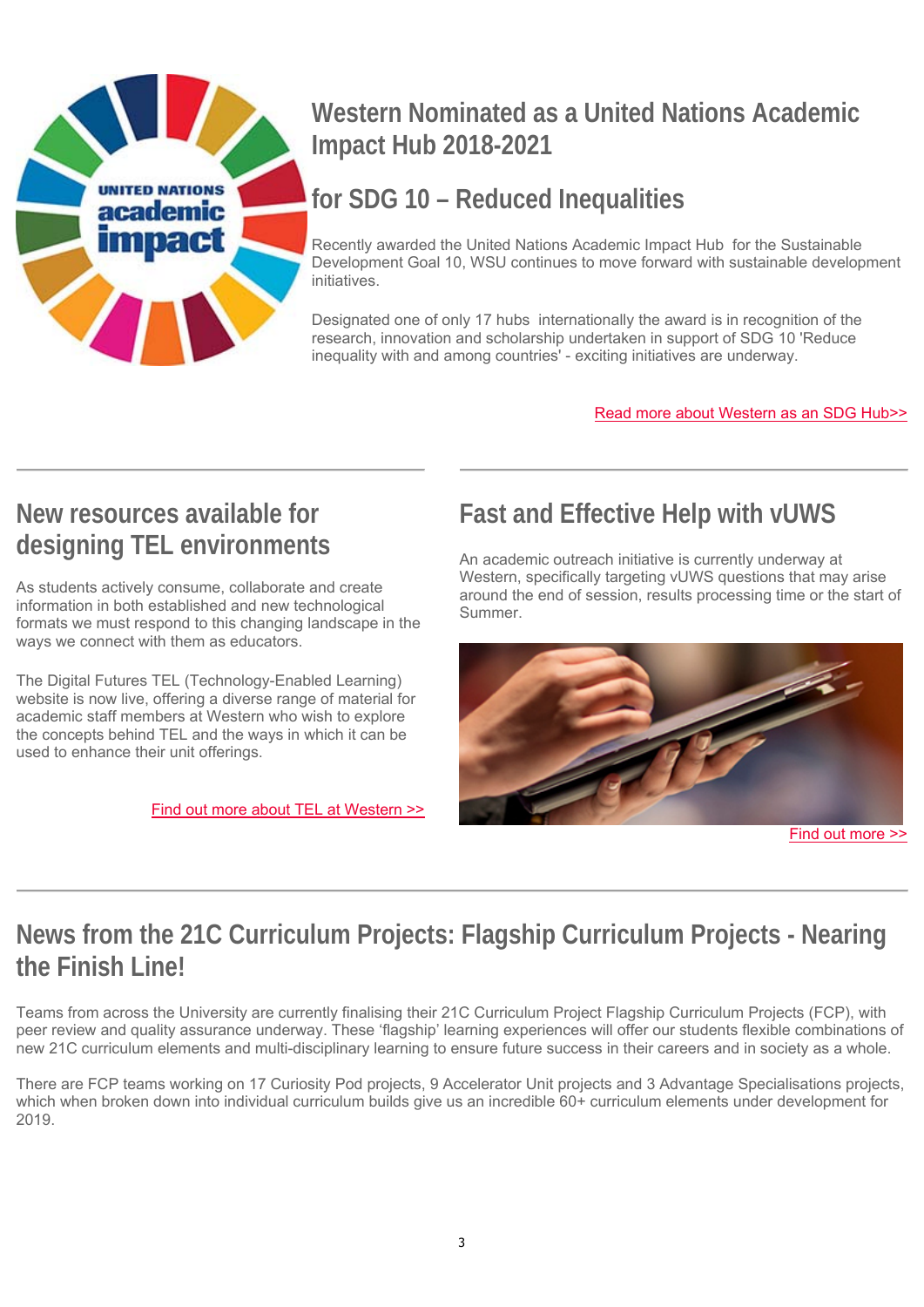

# **Western Nominated as a United Nations Academic Impact Hub 2018-2021**

# **for SDG 10 – Reduced Inequalities**

Recently awarded the United Nations Academic Impact Hub for the Sustainable Development Goal 10, WSU continues to move forward with sustainable development initiatives.

Designated one of only 17 hubs internationally the award is in recognition of the research, innovation and scholarship undertaken in support of SDG 10 'Reduce inequality with and among countries' - exciting initiatives are underway.

[Read more about Western as an SDG Hub>>](https://www.vision6.com.au/em/message/email/view?a=37166&id=1196454&k=Mmux5dA6gJte1KZq86kCCOKdp9DU7r2fIws-GbQ4jBk)

# **New resources available for designing TEL environments**

As students actively consume, collaborate and create information in both established and new technological formats we must respond to this changing landscape in the ways we connect with them as educators.

The Digital Futures TEL (Technology-Enabled Learning) website is now live, offering a diverse range of material for academic staff members at Western who wish to explore the concepts behind TEL and the ways in which it can be used to enhance their unit offerings.

[Find out more about TEL at Western >>](https://www.vision6.com.au/em/message/email/view?a=37166&id=1196453&k=V5tfJZT3o6B-F5fwz3ndNvoOi_4XtI0BcsuFSDiaBrQ)

# **Fast and Effective Help with vUWS**

An academic outreach initiative is currently underway at Western, specifically targeting vUWS questions that may arise around the end of session, results processing time or the start of Summer.



[Find out more >>](https://www.vision6.com.au/em/message/email/view?a=37166&id=1196451&k=WnMC7VCfKTMPI66oOy5c5WBDuO_8_AkiTGbbA6qqF-c)

# **News from the 21C Curriculum Projects: Flagship Curriculum Projects - Nearing the Finish Line!**

Teams from across the University are currently finalising their 21C Curriculum Project Flagship Curriculum Projects (FCP), with peer review and quality assurance underway. These 'flagship' learning experiences will offer our students flexible combinations of new 21C curriculum elements and multi-disciplinary learning to ensure future success in their careers and in society as a whole.

There are FCP teams working on 17 Curiosity Pod projects, 9 Accelerator Unit projects and 3 Advantage Specialisations projects, which when broken down into individual curriculum builds give us an incredible 60+ curriculum elements under development for 2019.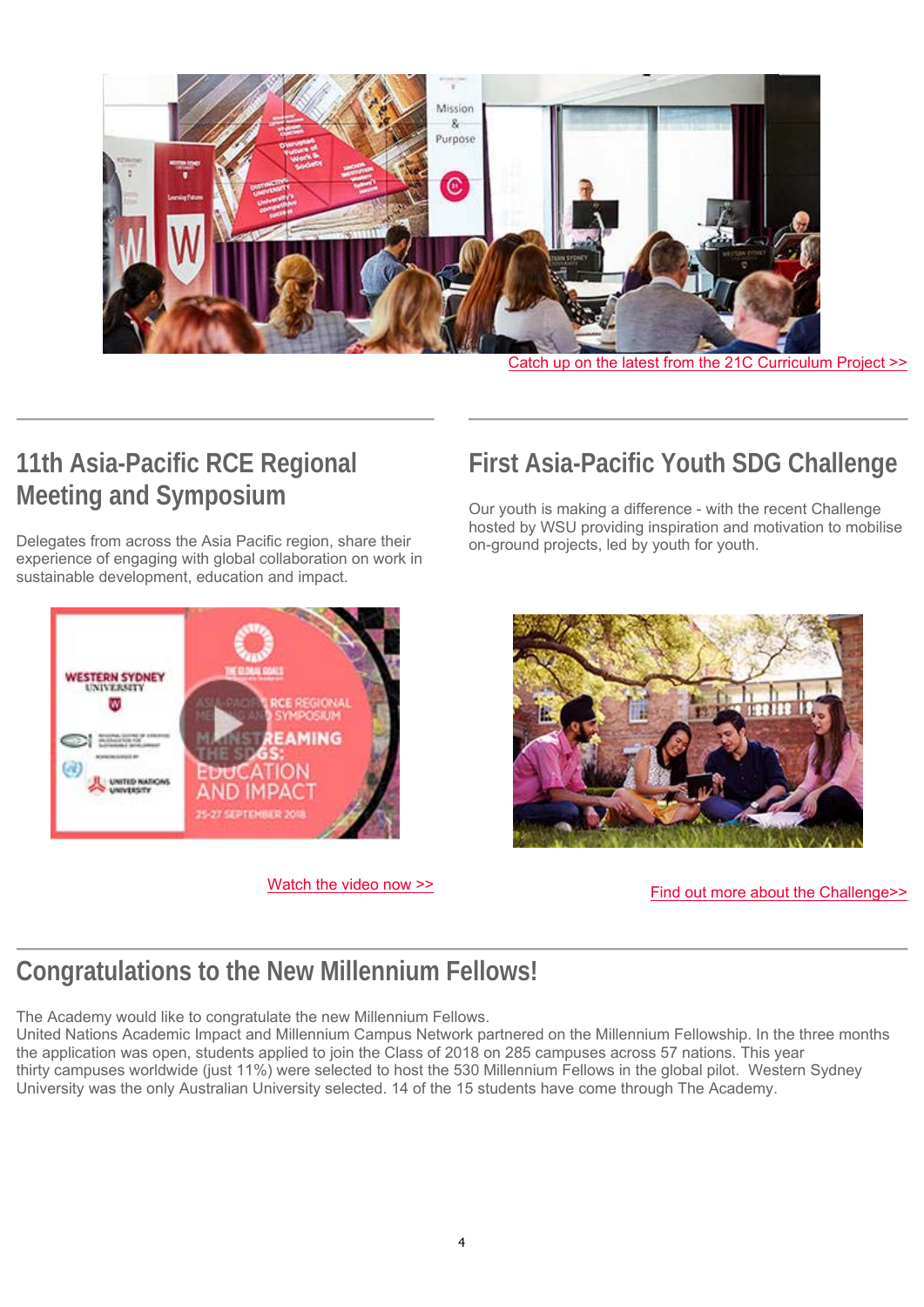

[Catch up on the latest from the 21C Curriculum Project >>](https://www.vision6.com.au/em/message/email/view?a=37166&id=1196452&k=ImHmU61QDwwYw5cvIypFZOM4Qb_aqoxngkDKN_CPLJk)

# **11th Asia-Pacific RCE Regional Meeting and Symposium**

Delegates from across the Asia Pacific region, share their experience of engaging with global collaboration on work in sustainable development, education and impact.



[Watch the video now >>](https://www.youtube.com/watch?time_continue=32&v=BvrQiuw5wHM)

#### **First Asia-Pacific Youth SDG Challenge**

Our youth is making a difference - with the recent Challenge hosted by WSU providing inspiration and motivation to mobilise on-ground projects, led by youth for youth.



[Find out more about the Challenge>>](https://www.vision6.com.au/em/message/email/view?a=37166&id=1196494&k=K2FbIfbhsOLN00qAZ4NcFkr9dIJYVvZ7SMyLnHQK4qc)

#### **Congratulations to the New Millennium Fellows!**

The Academy would like to congratulate the new Millennium Fellows.

United Nations Academic Impact and Millennium Campus Network partnered on the Millennium Fellowship. In the three months the application was open, students applied to join the Class of 2018 on 285 campuses across 57 nations. This year thirty campuses worldwide (just 11%) were selected to host the 530 Millennium Fellows in the global pilot. Western Sydney University was the only Australian University selected. 14 of the 15 students have come through The Academy.